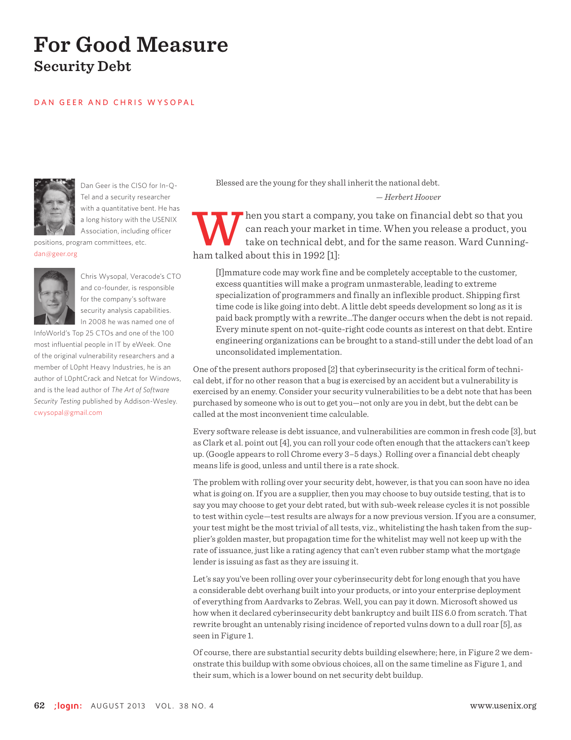# **For Good Measure Security Debt**

#### DAN GEER AND CHRIS WYSOPAL



Dan Geer is the CISO for In-Q-Tel and a security researcher with a quantitative bent. He has a long history with the USENIX Association, including officer

positions, program committees, etc. dan@geer.org



Chris Wysopal, Veracode's CTO and co-founder, is responsible for the company's software security analysis capabilities. In 2008 he was named one of

InfoWorld's Top 25 CTOs and one of the 100 most influential people in IT by eWeek. One of the original vulnerability researchers and a member of L0pht Heavy Industries, he is an author of L0phtCrack and Netcat for Windows, and is the lead author of *The Art of Software Security Testing* published by Addison-Wesley. cwysopal@gmail.com

Blessed are the young for they shall inherit the national debt. — *Herbert Hoover*

hen you start a company, you take on financial debt so that you can reach your market in time. When you release a product, you take on technical debt, and for the same reason. Ward Cunningham talked about this in 1992 [1]:

[I]mmature code may work fine and be completely acceptable to the customer, excess quantities will make a program unmasterable, leading to extreme specialization of programmers and finally an inflexible product. Shipping first time code is like going into debt. A little debt speeds development so long as it is paid back promptly with a rewrite…The danger occurs when the debt is not repaid. Every minute spent on not-quite-right code counts as interest on that debt. Entire engineering organizations can be brought to a stand-still under the debt load of an unconsolidated implementation.

One of the present authors proposed [2] that cyberinsecurity is the critical form of technical debt, if for no other reason that a bug is exercised by an accident but a vulnerability is exercised by an enemy. Consider your security vulnerabilities to be a debt note that has been purchased by someone who is out to get you—not only are you in debt, but the debt can be called at the most inconvenient time calculable.

Every software release is debt issuance, and vulnerabilities are common in fresh code [3], but as Clark et al. point out [4], you can roll your code often enough that the attackers can't keep up. (Google appears to roll Chrome every 3–5 days.) Rolling over a financial debt cheaply means life is good, unless and until there is a rate shock.

The problem with rolling over your security debt, however, is that you can soon have no idea what is going on. If you are a supplier, then you may choose to buy outside testing, that is to say you may choose to get your debt rated, but with sub-week release cycles it is not possible to test within cycle—test results are always for a now previous version. If you are a consumer, your test might be the most trivial of all tests, viz., whitelisting the hash taken from the supplier's golden master, but propagation time for the whitelist may well not keep up with the rate of issuance, just like a rating agency that can't even rubber stamp what the mortgage lender is issuing as fast as they are issuing it.

Let's say you've been rolling over your cyberinsecurity debt for long enough that you have a considerable debt overhang built into your products, or into your enterprise deployment of everything from Aardvarks to Zebras. Well, you can pay it down. Microsoft showed us how when it declared cyberinsecurity debt bankruptcy and built IIS 6.0 from scratch. That rewrite brought an untenably rising incidence of reported vulns down to a dull roar [5], as seen in Figure 1.

Of course, there are substantial security debts building elsewhere; here, in Figure 2 we demonstrate this buildup with some obvious choices, all on the same timeline as Figure 1, and their sum, which is a lower bound on net security debt buildup.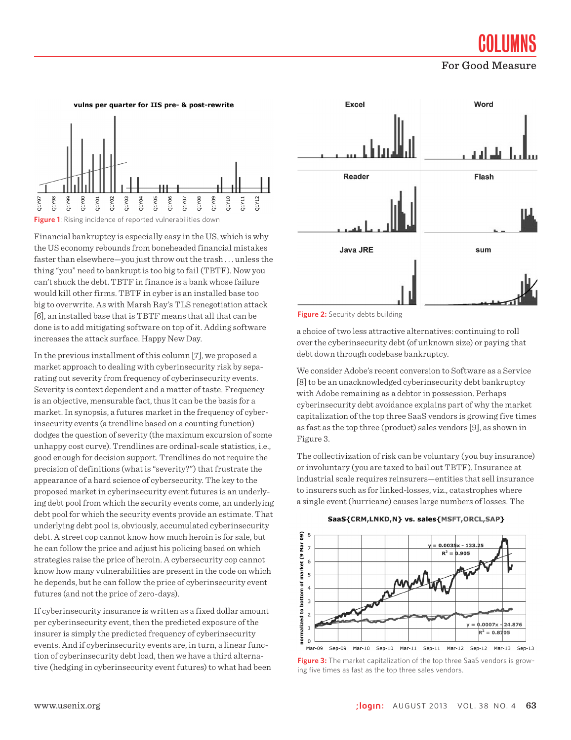**COLUMNS** 

For Good Measure





**Figure 1**: Rising incidence of reported vulnerabilities down

Financial bankruptcy is especially easy in the US, which is why the US economy rebounds from boneheaded financial mistakes faster than elsewhere—you just throw out the trash . . . unless the thing "you" need to bankrupt is too big to fail (TBTF). Now you can't shuck the debt. TBTF in finance is a bank whose failure would kill other firms. TBTF in cyber is an installed base too big to overwrite. As with Marsh Ray's TLS renegotiation attack [6], an installed base that is TBTF means that all that can be done is to add mitigating software on top of it. Adding software increases the attack surface. Happy New Day.

In the previous installment of this column [7], we proposed a market approach to dealing with cyberinsecurity risk by separating out severity from frequency of cyberinsecurity events. Severity is context dependent and a matter of taste. Frequency is an objective, mensurable fact, thus it can be the basis for a market. In synopsis, a futures market in the frequency of cyberinsecurity events (a trendline based on a counting function) dodges the question of severity (the maximum excursion of some unhappy cost curve). Trendlines are ordinal-scale statistics, i.e., good enough for decision support. Trendlines do not require the precision of definitions (what is "severity?") that frustrate the appearance of a hard science of cybersecurity. The key to the proposed market in cyberinsecurity event futures is an underlying debt pool from which the security events come, an underlying debt pool for which the security events provide an estimate. That underlying debt pool is, obviously, accumulated cyberinsecurity debt. A street cop cannot know how much heroin is for sale, but he can follow the price and adjust his policing based on which strategies raise the price of heroin. A cybersecurity cop cannot know how many vulnerabilities are present in the code on which he depends, but he can follow the price of cyberinsecurity event futures (and not the price of zero-days).

If cyberinsecurity insurance is written as a fixed dollar amount per cyberinsecurity event, then the predicted exposure of the insurer is simply the predicted frequency of cyberinsecurity events. And if cyberinsecurity events are, in turn, a linear function of cyberinsecurity debt load, then we have a third alternative (hedging in cyberinsecurity event futures) to what had been



**Figure 2:** Security debts building

a choice of two less attractive alternatives: continuing to roll over the cyberinsecurity debt (of unknown size) or paying that debt down through codebase bankruptcy.

We consider Adobe's recent conversion to Software as a Service [8] to be an unacknowledged cyberinsecurity debt bankruptcy with Adobe remaining as a debtor in possession. Perhaps cyberinsecurity debt avoidance explains part of why the market capitalization of the top three SaaS vendors is growing five times as fast as the top three (product) sales vendors [9], as shown in Figure 3.

The collectivization of risk can be voluntary (you buy insurance) or involuntary (you are taxed to bail out TBTF). Insurance at industrial scale requires reinsurers—entities that sell insurance to insurers such as for linked-losses, viz., catastrophes where a single event (hurricane) causes large numbers of losses. The





**Figure 3:** The market capitalization of the top three SaaS vendors is growing five times as fast as the top three sales vendors.